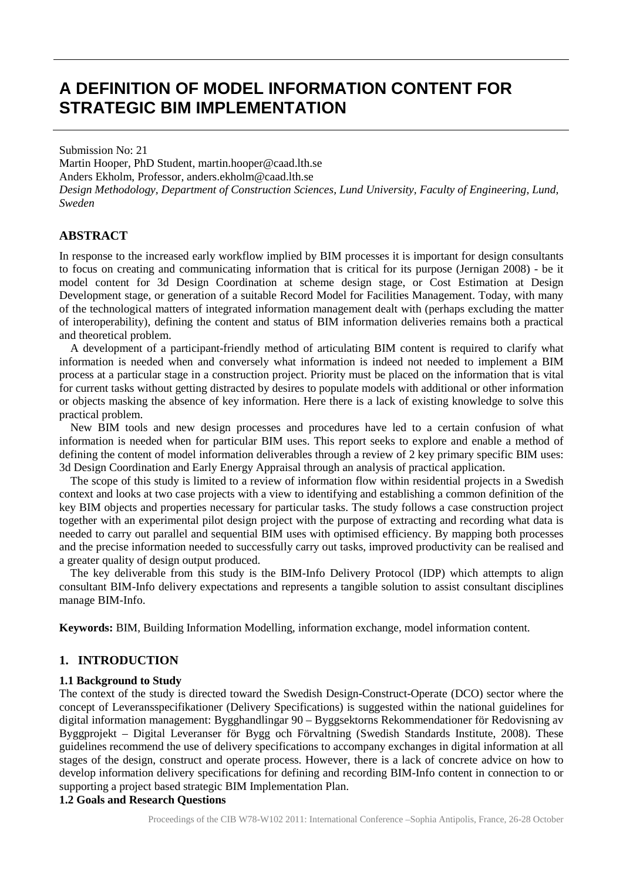# **A DEFINITION OF MODEL INFORMATION CONTENT FOR STRATEGIC BIM IMPLEMENTATION**

Submission No: 21 Martin Hooper, PhD Student, martin.hooper@caad.lth.se Anders Ekholm, Professor, anders.ekholm@caad.lth.se *Design Methodology, Department of Construction Sciences, Lund University, Faculty of Engineering, Lund, Sweden*

## **ABSTRACT**

In response to the increased early workflow implied by BIM processes it is important for design consultants to focus on creating and communicating information that is critical for its purpose (Jernigan 2008) - be it model content for 3d Design Coordination at scheme design stage, or Cost Estimation at Design Development stage, or generation of a suitable Record Model for Facilities Management. Today, with many of the technological matters of integrated information management dealt with (perhaps excluding the matter of interoperability), defining the content and status of BIM information deliveries remains both a practical and theoretical problem.

A development of a participant-friendly method of articulating BIM content is required to clarify what information is needed when and conversely what information is indeed not needed to implement a BIM process at a particular stage in a construction project. Priority must be placed on the information that is vital for current tasks without getting distracted by desires to populate models with additional or other information or objects masking the absence of key information. Here there is a lack of existing knowledge to solve this practical problem.

New BIM tools and new design processes and procedures have led to a certain confusion of what information is needed when for particular BIM uses. This report seeks to explore and enable a method of defining the content of model information deliverables through a review of 2 key primary specific BIM uses: 3d Design Coordination and Early Energy Appraisal through an analysis of practical application.

The scope of this study is limited to a review of information flow within residential projects in a Swedish context and looks at two case projects with a view to identifying and establishing a common definition of the key BIM objects and properties necessary for particular tasks. The study follows a case construction project together with an experimental pilot design project with the purpose of extracting and recording what data is needed to carry out parallel and sequential BIM uses with optimised efficiency. By mapping both processes and the precise information needed to successfully carry out tasks, improved productivity can be realised and a greater quality of design output produced.

The key deliverable from this study is the BIM-Info Delivery Protocol (IDP) which attempts to align consultant BIM-Info delivery expectations and represents a tangible solution to assist consultant disciplines manage BIM-Info.

**Keywords:** BIM, Building Information Modelling, information exchange, model information content.

## **1. INTRODUCTION**

#### **1.1 Background to Study**

The context of the study is directed toward the Swedish Design-Construct-Operate (DCO) sector where the concept of Leveransspecifikationer (Delivery Specifications) is suggested within the national guidelines for digital information management: Bygghandlingar 90 – Byggsektorns Rekommendationer för Redovisning av Byggprojekt – Digital Leveranser för Bygg och Förvaltning (Swedish Standards Institute, 2008). These guidelines recommend the use of delivery specifications to accompany exchanges in digital information at all stages of the design, construct and operate process. However, there is a lack of concrete advice on how to develop information delivery specifications for defining and recording BIM-Info content in connection to or supporting a project based strategic BIM Implementation Plan.

#### **1.2 Goals and Research Questions**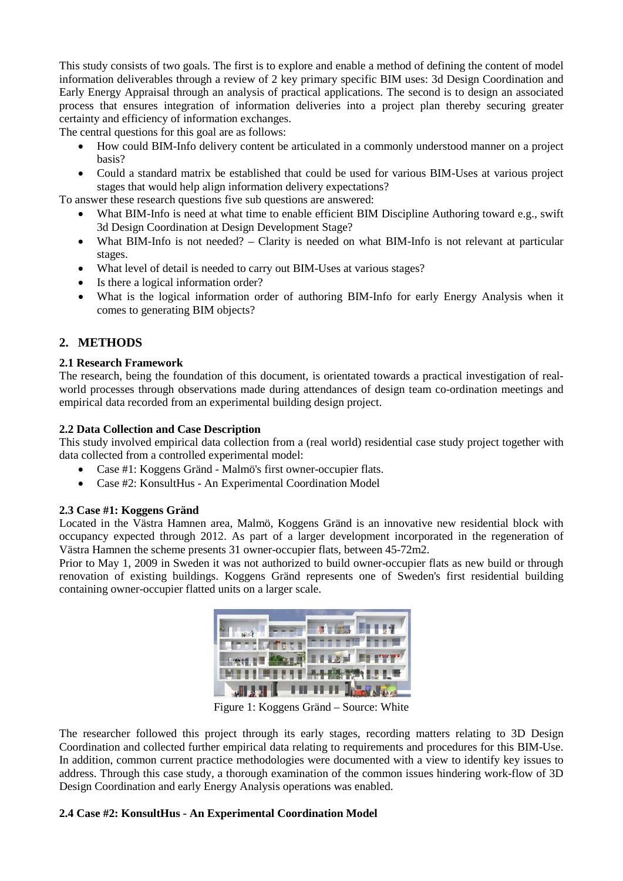This study consists of two goals. The first is to explore and enable a method of defining the content of model information deliverables through a review of 2 key primary specific BIM uses: 3d Design Coordination and Early Energy Appraisal through an analysis of practical applications. The second is to design an associated process that ensures integration of information deliveries into a project plan thereby securing greater certainty and efficiency of information exchanges.

The central questions for this goal are as follows:

- How could BIM-Info delivery content be articulated in a commonly understood manner on a project basis?
- Could a standard matrix be established that could be used for various BIM-Uses at various project stages that would help align information delivery expectations?

To answer these research questions five sub questions are answered:

- What BIM-Info is need at what time to enable efficient BIM Discipline Authoring toward e.g., swift 3d Design Coordination at Design Development Stage?
- What BIM-Info is not needed? Clarity is needed on what BIM-Info is not relevant at particular stages.
- What level of detail is needed to carry out BIM-Uses at various stages?
- Is there a logical information order?
- What is the logical information order of authoring BIM-Info for early Energy Analysis when it comes to generating BIM objects?

## **2. METHODS**

#### **2.1 Research Framework**

The research, being the foundation of this document, is orientated towards a practical investigation of realworld processes through observations made during attendances of design team co-ordination meetings and empirical data recorded from an experimental building design project.

#### **2.2 Data Collection and Case Description**

This study involved empirical data collection from a (real world) residential case study project together with data collected from a controlled experimental model:

- Case #1: Koggens Gränd Malmö's first owner-occupier flats.
- Case #2: KonsultHus An Experimental Coordination Model

## **2.3 Case #1: Koggens Gränd**

Located in the Västra Hamnen area, Malmö, Koggens Gränd is an innovative new residential block with occupancy expected through 2012. As part of a larger development incorporated in the regeneration of Västra Hamnen the scheme presents 31 owner-occupier flats, between 45-72m2.

Prior to May 1, 2009 in Sweden it was not authorized to build owner-occupier flats as new build or through renovation of existing buildings. Koggens Gränd represents one of Sweden's first residential building containing owner-occupier flatted units on a larger scale.



Figure 1: Koggens Gränd – Source: White

The researcher followed this project through its early stages, recording matters relating to 3D Design Coordination and collected further empirical data relating to requirements and procedures for this BIM-Use. In addition, common current practice methodologies were documented with a view to identify key issues to address. Through this case study, a thorough examination of the common issues hindering work-flow of 3D Design Coordination and early Energy Analysis operations was enabled.

#### **2.4 Case #2: KonsultHus - An Experimental Coordination Model**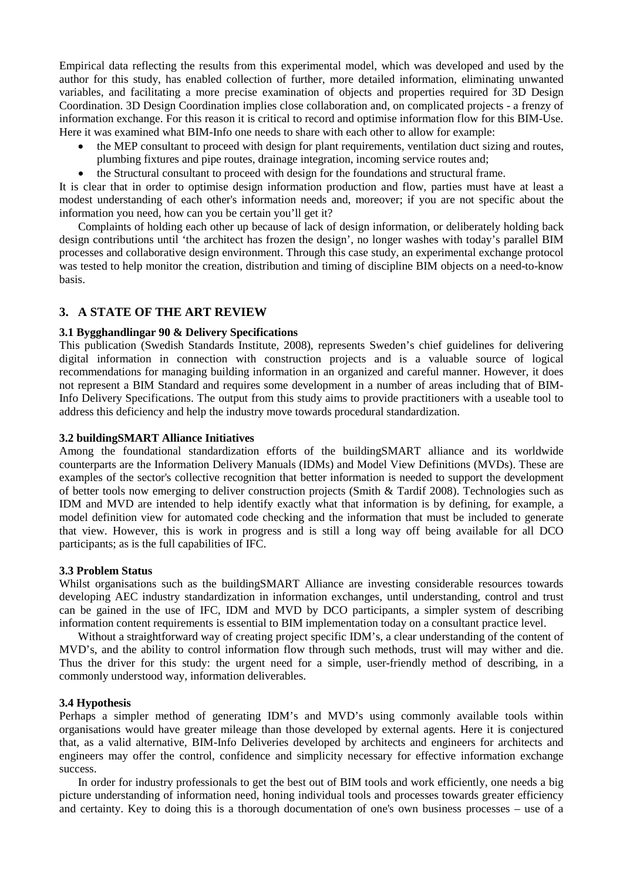Empirical data reflecting the results from this experimental model, which was developed and used by the author for this study, has enabled collection of further, more detailed information, eliminating unwanted variables, and facilitating a more precise examination of objects and properties required for 3D Design Coordination. 3D Design Coordination implies close collaboration and, on complicated projects - a frenzy of information exchange. For this reason it is critical to record and optimise information flow for this BIM-Use. Here it was examined what BIM-Info one needs to share with each other to allow for example:

- the MEP consultant to proceed with design for plant requirements, ventilation duct sizing and routes, plumbing fixtures and pipe routes, drainage integration, incoming service routes and;
- the Structural consultant to proceed with design for the foundations and structural frame.

It is clear that in order to optimise design information production and flow, parties must have at least a modest understanding of each other's information needs and, moreover; if you are not specific about the information you need, how can you be certain you'll get it?

Complaints of holding each other up because of lack of design information, or deliberately holding back design contributions until 'the architect has frozen the design', no longer washes with today's parallel BIM processes and collaborative design environment. Through this case study, an experimental exchange protocol was tested to help monitor the creation, distribution and timing of discipline BIM objects on a need-to-know basis.

## **3. A STATE OF THE ART REVIEW**

#### **3.1 Bygghandlingar 90 & Delivery Specifications**

This publication (Swedish Standards Institute, 2008), represents Sweden's chief guidelines for delivering digital information in connection with construction projects and is a valuable source of logical recommendations for managing building information in an organized and careful manner. However, it does not represent a BIM Standard and requires some development in a number of areas including that of BIM-Info Delivery Specifications. The output from this study aims to provide practitioners with a useable tool to address this deficiency and help the industry move towards procedural standardization.

#### **3.2 buildingSMART Alliance Initiatives**

Among the foundational standardization efforts of the buildingSMART alliance and its worldwide counterparts are the Information Delivery Manuals (IDMs) and Model View Definitions (MVDs). These are examples of the sector's collective recognition that better information is needed to support the development of better tools now emerging to deliver construction projects (Smith & Tardif 2008). Technologies such as IDM and MVD are intended to help identify exactly what that information is by defining, for example, a model definition view for automated code checking and the information that must be included to generate that view. However, this is work in progress and is still a long way off being available for all DCO participants; as is the full capabilities of IFC.

#### **3.3 Problem Status**

Whilst organisations such as the buildingSMART Alliance are investing considerable resources towards developing AEC industry standardization in information exchanges, until understanding, control and trust can be gained in the use of IFC, IDM and MVD by DCO participants, a simpler system of describing information content requirements is essential to BIM implementation today on a consultant practice level.

Without a straightforward way of creating project specific IDM's, a clear understanding of the content of MVD's, and the ability to control information flow through such methods, trust will may wither and die. Thus the driver for this study: the urgent need for a simple, user-friendly method of describing, in a commonly understood way, information deliverables.

#### **3.4 Hypothesis**

Perhaps a simpler method of generating IDM's and MVD's using commonly available tools within organisations would have greater mileage than those developed by external agents. Here it is conjectured that, as a valid alternative, BIM-Info Deliveries developed by architects and engineers for architects and engineers may offer the control, confidence and simplicity necessary for effective information exchange success.

In order for industry professionals to get the best out of BIM tools and work efficiently, one needs a big picture understanding of information need, honing individual tools and processes towards greater efficiency and certainty. Key to doing this is a thorough documentation of one's own business processes – use of a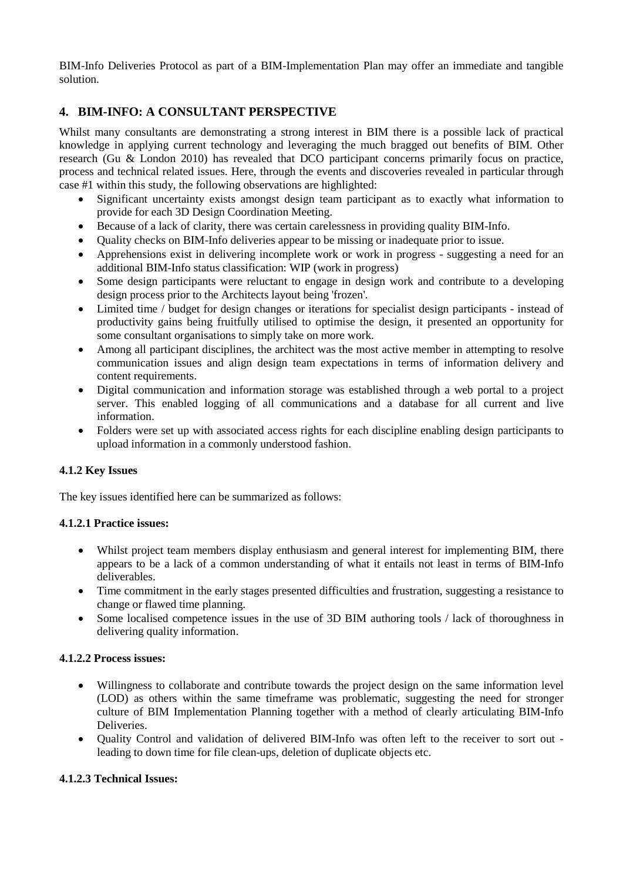BIM-Info Deliveries Protocol as part of a BIM-Implementation Plan may offer an immediate and tangible solution.

# **4. BIM-INFO: A CONSULTANT PERSPECTIVE**

Whilst many consultants are demonstrating a strong interest in BIM there is a possible lack of practical knowledge in applying current technology and leveraging the much bragged out benefits of BIM. Other research (Gu & London 2010) has revealed that DCO participant concerns primarily focus on practice, process and technical related issues. Here, through the events and discoveries revealed in particular through case #1 within this study, the following observations are highlighted:

- Significant uncertainty exists amongst design team participant as to exactly what information to provide for each 3D Design Coordination Meeting.
- Because of a lack of clarity, there was certain carelessness in providing quality BIM-Info.
- Quality checks on BIM-Info deliveries appear to be missing or inadequate prior to issue.
- Apprehensions exist in delivering incomplete work or work in progress suggesting a need for an additional BIM-Info status classification: WIP (work in progress)
- Some design participants were reluctant to engage in design work and contribute to a developing design process prior to the Architects layout being 'frozen'.
- Limited time / budget for design changes or iterations for specialist design participants instead of productivity gains being fruitfully utilised to optimise the design, it presented an opportunity for some consultant organisations to simply take on more work.
- Among all participant disciplines, the architect was the most active member in attempting to resolve communication issues and align design team expectations in terms of information delivery and content requirements.
- Digital communication and information storage was established through a web portal to a project server. This enabled logging of all communications and a database for all current and live information.
- Folders were set up with associated access rights for each discipline enabling design participants to upload information in a commonly understood fashion.

## **4.1.2 Key Issues**

The key issues identified here can be summarized as follows:

## **4.1.2.1 Practice issues:**

- Whilst project team members display enthusiasm and general interest for implementing BIM, there appears to be a lack of a common understanding of what it entails not least in terms of BIM-Info deliverables.
- Time commitment in the early stages presented difficulties and frustration, suggesting a resistance to change or flawed time planning.
- Some localised competence issues in the use of 3D BIM authoring tools / lack of thoroughness in delivering quality information.

## **4.1.2.2 Process issues:**

- Willingness to collaborate and contribute towards the project design on the same information level (LOD) as others within the same timeframe was problematic, suggesting the need for stronger culture of BIM Implementation Planning together with a method of clearly articulating BIM-Info Deliveries.
- Quality Control and validation of delivered BIM-Info was often left to the receiver to sort out leading to down time for file clean-ups, deletion of duplicate objects etc.

## **4.1.2.3 Technical Issues:**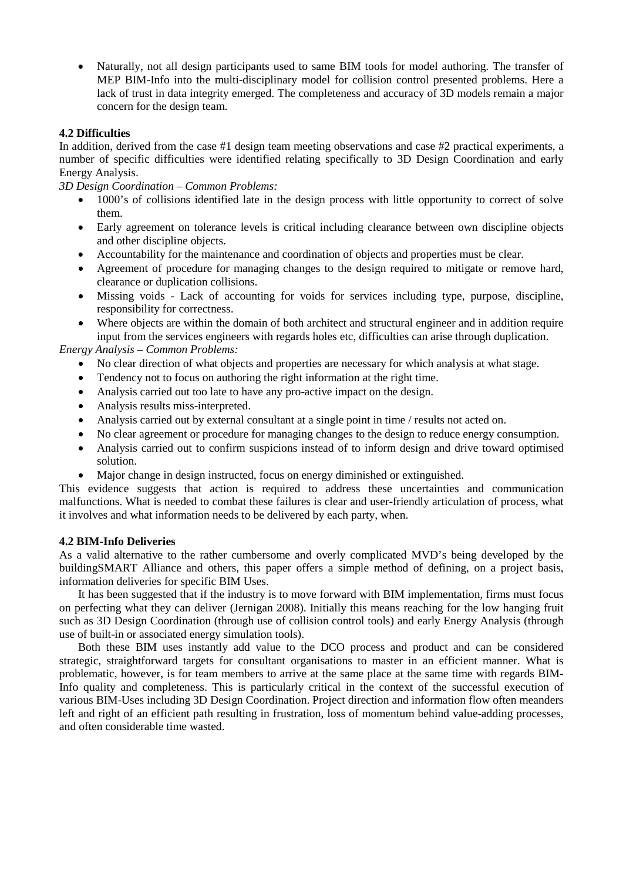• Naturally, not all design participants used to same BIM tools for model authoring. The transfer of MEP BIM-Info into the multi-disciplinary model for collision control presented problems. Here a lack of trust in data integrity emerged. The completeness and accuracy of 3D models remain a major concern for the design team.

#### **4.2 Difficulties**

In addition, derived from the case #1 design team meeting observations and case #2 practical experiments, a number of specific difficulties were identified relating specifically to 3D Design Coordination and early Energy Analysis.

*3D Design Coordination – Common Problems:*

- 1000's of collisions identified late in the design process with little opportunity to correct of solve them.
- Early agreement on tolerance levels is critical including clearance between own discipline objects and other discipline objects.
- Accountability for the maintenance and coordination of objects and properties must be clear.
- Agreement of procedure for managing changes to the design required to mitigate or remove hard, clearance or duplication collisions.
- Missing voids Lack of accounting for voids for services including type, purpose, discipline, responsibility for correctness.
- Where objects are within the domain of both architect and structural engineer and in addition require input from the services engineers with regards holes etc, difficulties can arise through duplication.

*Energy Analysis – Common Problems:*

- No clear direction of what objects and properties are necessary for which analysis at what stage.
- Tendency not to focus on authoring the right information at the right time.
- Analysis carried out too late to have any pro-active impact on the design.
- Analysis results miss-interpreted.
- Analysis carried out by external consultant at a single point in time / results not acted on.
- No clear agreement or procedure for managing changes to the design to reduce energy consumption.
- Analysis carried out to confirm suspicions instead of to inform design and drive toward optimised solution.
- Major change in design instructed, focus on energy diminished or extinguished.

This evidence suggests that action is required to address these uncertainties and communication malfunctions. What is needed to combat these failures is clear and user-friendly articulation of process, what it involves and what information needs to be delivered by each party, when.

#### **4.2 BIM-Info Deliveries**

As a valid alternative to the rather cumbersome and overly complicated MVD's being developed by the buildingSMART Alliance and others, this paper offers a simple method of defining, on a project basis, information deliveries for specific BIM Uses.

It has been suggested that if the industry is to move forward with BIM implementation, firms must focus on perfecting what they can deliver (Jernigan 2008). Initially this means reaching for the low hanging fruit such as 3D Design Coordination (through use of collision control tools) and early Energy Analysis (through use of built-in or associated energy simulation tools).

Both these BIM uses instantly add value to the DCO process and product and can be considered strategic, straightforward targets for consultant organisations to master in an efficient manner. What is problematic, however, is for team members to arrive at the same place at the same time with regards BIM-Info quality and completeness. This is particularly critical in the context of the successful execution of various BIM-Uses including 3D Design Coordination. Project direction and information flow often meanders left and right of an efficient path resulting in frustration, loss of momentum behind value-adding processes, and often considerable time wasted.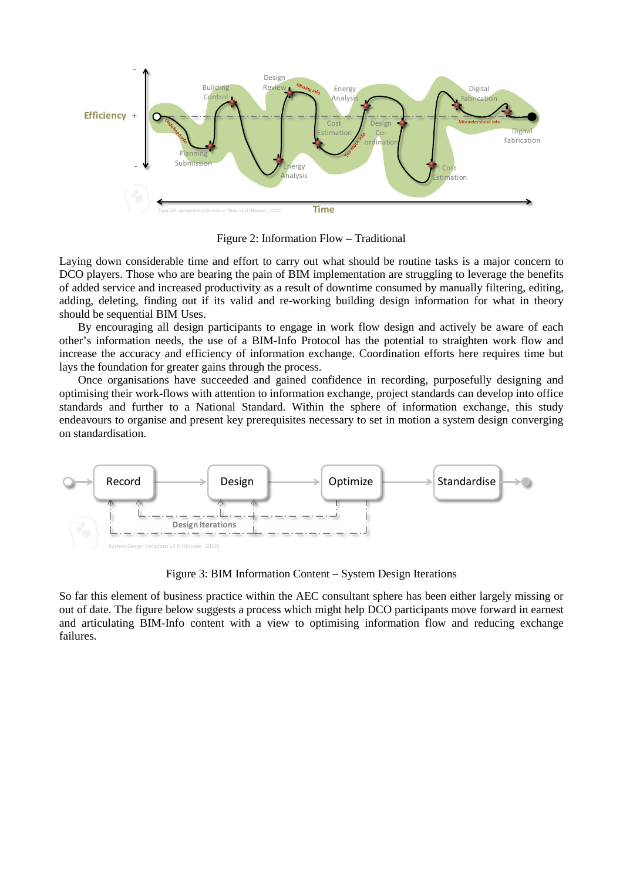

Figure 2: Information Flow – Traditional

Laying down considerable time and effort to carry out what should be routine tasks is a major concern to DCO players. Those who are bearing the pain of BIM implementation are struggling to leverage the benefits of added service and increased productivity as a result of downtime consumed by manually filtering, editing, adding, deleting, finding out if its valid and re-working building design information for what in theory should be sequential BIM Uses.

By encouraging all design participants to engage in work flow design and actively be aware of each other's information needs, the use of a BIM-Info Protocol has the potential to straighten work flow and increase the accuracy and efficiency of information exchange. Coordination efforts here requires time but lays the foundation for greater gains through the process.

Once organisations have succeeded and gained confidence in recording, purposefully designing and optimising their work-flows with attention to information exchange, project standards can develop into office standards and further to a National Standard. Within the sphere of information exchange, this study endeavours to organise and present key prerequisites necessary to set in motion a system design converging on standardisation.



Figure 3: BIM Information Content – System Design Iterations

So far this element of business practice within the AEC consultant sphere has been either largely missing or out of date. The figure below suggests a process which might help DCO participants move forward in earnest and articulating BIM-Info content with a view to optimising information flow and reducing exchange failures.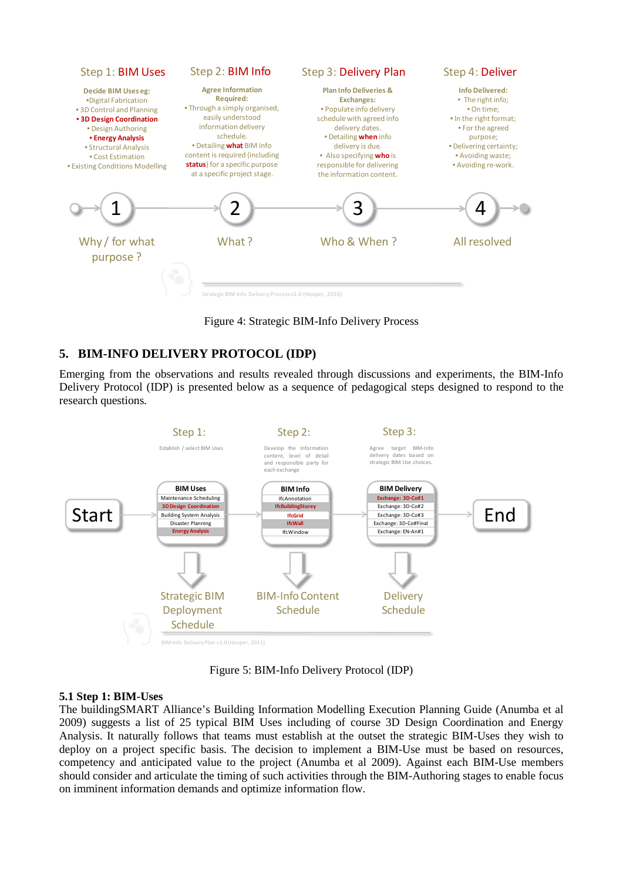



# **5. BIM-INFO DELIVERY PROTOCOL (IDP)**

Emerging from the observations and results revealed through discussions and experiments, the BIM-Info Delivery Protocol (IDP) is presented below as a sequence of pedagogical steps designed to respond to the research questions.



Figure 5: BIM-Info Delivery Protocol (IDP)

## **5.1 Step 1: BIM-Uses**

The buildingSMART Alliance's Building Information Modelling Execution Planning Guide (Anumba et al 2009) suggests a list of 25 typical BIM Uses including of course 3D Design Coordination and Energy Analysis. It naturally follows that teams must establish at the outset the strategic BIM-Uses they wish to deploy on a project specific basis. The decision to implement a BIM-Use must be based on resources, competency and anticipated value to the project (Anumba et al 2009). Against each BIM-Use members should consider and articulate the timing of such activities through the BIM-Authoring stages to enable focus on imminent information demands and optimize information flow.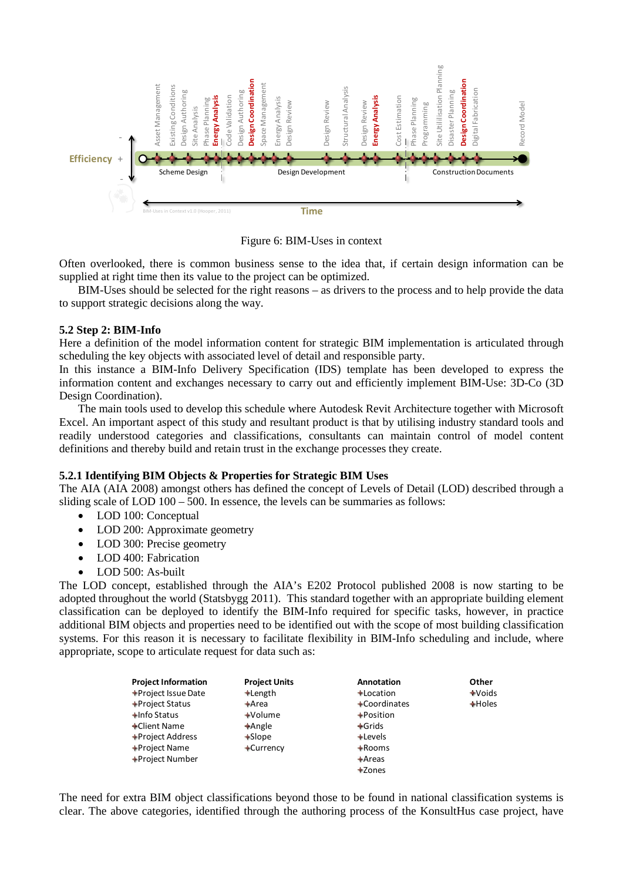

Figure 6: BIM-Uses in context

Often overlooked, there is common business sense to the idea that, if certain design information can be supplied at right time then its value to the project can be optimized.

BIM-Uses should be selected for the right reasons – as drivers to the process and to help provide the data to support strategic decisions along the way.

#### **5.2 Step 2: BIM-Info**

Here a definition of the model information content for strategic BIM implementation is articulated through scheduling the key objects with associated level of detail and responsible party.

In this instance a BIM-Info Delivery Specification (IDS) template has been developed to express the information content and exchanges necessary to carry out and efficiently implement BIM-Use: 3D-Co (3D Design Coordination).

The main tools used to develop this schedule where Autodesk Revit Architecture together with Microsoft Excel. An important aspect of this study and resultant product is that by utilising industry standard tools and readily understood categories and classifications, consultants can maintain control of model content definitions and thereby build and retain trust in the exchange processes they create.

#### **5.2.1 Identifying BIM Objects & Properties for Strategic BIM Uses**

The AIA (AIA 2008) amongst others has defined the concept of Levels of Detail (LOD) described through a sliding scale of LOD 100 – 500. In essence, the levels can be summaries as follows:

- LOD 100: Conceptual
- LOD 200: Approximate geometry
- LOD 300: Precise geometry
- LOD 400: Fabrication
- LOD 500: As-built

The LOD concept, established through the AIA's E202 Protocol published 2008 is now starting to be adopted throughout the world (Statsbygg 2011). This standard together with an appropriate building element classification can be deployed to identify the BIM-Info required for specific tasks, however, in practice additional BIM objects and properties need to be identified out with the scope of most building classification systems. For this reason it is necessary to facilitate flexibility in BIM-Info scheduling and include, where appropriate, scope to articulate request for data such as:

| <b>Project Information</b> | <b>Project Units</b> | Annotation        | Other               |
|----------------------------|----------------------|-------------------|---------------------|
| <b>+Project Issue Date</b> | $+$ Length           | +Location         | $\rightarrow$ Voids |
| <b>+Project Status</b>     | $+$ Area             | +Coordinates      | $+$ Holes           |
| <b>→Info Status</b>        | $\triangle$ Volume   | +Position         |                     |
| <b>+Client Name</b>        | $A$ ngle             | $\triangle$ Grids |                     |
| <b>+Project Address</b>    | $\triangle$ Slope    | $+$ Levels        |                     |
| <b>+Project Name</b>       | $+$ Currency         | $+$ Rooms         |                     |
| +Project Number            |                      | $\triangle$ Areas |                     |
|                            |                      | $\triangle$ Zones |                     |

The need for extra BIM object classifications beyond those to be found in national classification systems is clear. The above categories, identified through the authoring process of the KonsultHus case project, have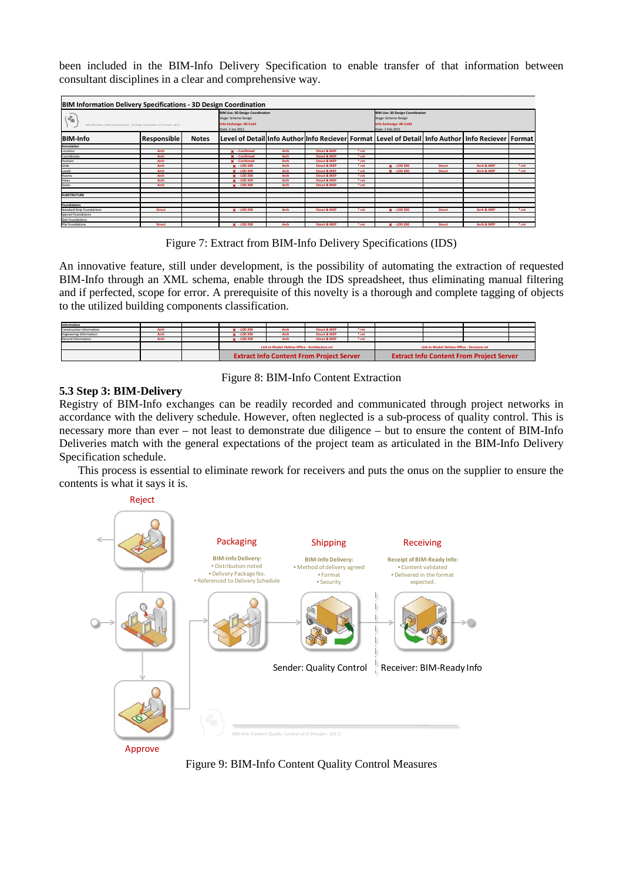been included in the BIM-Info Delivery Specification to enable transfer of that information between consultant disciplines in a clear and comprehensive way.

| <b>BIM Information Delivery Specifications - 3D Design Coordination</b>                                                        |                    |                                                                                                               |                        |      |                         |                                                                                                               |                                                                                                           |        |            |       |
|--------------------------------------------------------------------------------------------------------------------------------|--------------------|---------------------------------------------------------------------------------------------------------------|------------------------|------|-------------------------|---------------------------------------------------------------------------------------------------------------|-----------------------------------------------------------------------------------------------------------|--------|------------|-------|
| $(\frac{\partial V}{\partial \theta})$<br>BIM Information Delivery Specifications - 3D Design Coordination v1.0 (Hooper, 2011) |                    | <b>BIM Use: 3D Design Coordination</b><br>Stage: Scheme Design<br>Info Exchange: 3D-Coll1<br>Date: 1 Jan 2011 |                        |      |                         | <b>BIM Use: 3D Design Coordination</b><br>Stage: Scheme Design<br>Info Exchange: 3D-Coll2<br>Date: 1 Feb 2011 |                                                                                                           |        |            |       |
| <b>BIM-Info</b>                                                                                                                | <b>Responsible</b> | <b>Notes</b>                                                                                                  |                        |      |                         |                                                                                                               | Level of Detail Info Author Info Reciever Format   Level of Detail   Info Author   Info Reciever   Format |        |            |       |
| Annotation                                                                                                                     |                    |                                                                                                               |                        |      |                         |                                                                                                               |                                                                                                           |        |            |       |
| Location                                                                                                                       | Arch               |                                                                                                               | $X -$ Confirmed        | Arch | <b>Struct &amp; MEP</b> | *.rvt                                                                                                         |                                                                                                           |        |            |       |
| Coordinates                                                                                                                    | Arch               |                                                                                                               | $X - \text{Confirmed}$ | Arch | <b>Struct &amp; MEP</b> | *.rvt                                                                                                         |                                                                                                           |        |            |       |
| Position                                                                                                                       | Arch               |                                                                                                               | $X - \text{Confirmed}$ | Arch | <b>Struct &amp; MEP</b> | *.rvt                                                                                                         |                                                                                                           |        |            |       |
| Grids                                                                                                                          | Arch               |                                                                                                               | $X -$ LOD 200          | Arch | <b>Struct &amp; MEP</b> | *.rvt                                                                                                         | $\times$ -LOD 200                                                                                         | Struct | Arch & MEP | *.rvt |
| Levels                                                                                                                         | Arch               |                                                                                                               | $X -$ LOD 200          | Arch | <b>Struct &amp; MEP</b> | *.rvt                                                                                                         | $X -$ LOD 200                                                                                             | Struct | Arch & MEP | *.rvt |
| Rooms                                                                                                                          | Arch               |                                                                                                               | $X -$ LOD 200          | Arch | <b>Struct &amp; MEP</b> | *.rvt                                                                                                         |                                                                                                           |        |            |       |
| Areas                                                                                                                          | Arch               |                                                                                                               | $X -$ LOD 200          | Arch | <b>Struct &amp; MEP</b> | *.rvt                                                                                                         |                                                                                                           |        |            |       |
| Zones                                                                                                                          | Arch               |                                                                                                               | $X -$ LOD 200          | Arch | <b>Struct &amp; MEP</b> | *.rvt                                                                                                         |                                                                                                           |        |            |       |
| <b>SUBSTRUTURE</b>                                                                                                             |                    |                                                                                                               |                        |      |                         |                                                                                                               |                                                                                                           |        |            |       |
| <b>Foundations</b>                                                                                                             |                    |                                                                                                               |                        |      |                         |                                                                                                               |                                                                                                           |        |            |       |
| <b>Standard Strip Foundations</b>                                                                                              | Struct             |                                                                                                               | $X -$ LOD 200          | Arch | <b>Struct &amp; MEP</b> | *.rvt                                                                                                         | $X -$ LOD 200                                                                                             | Struct | Arch & MEP | *.rvt |
| Special Foundations                                                                                                            |                    |                                                                                                               |                        |      |                         |                                                                                                               |                                                                                                           |        |            |       |
| Slab Foundations                                                                                                               |                    |                                                                                                               |                        |      |                         |                                                                                                               |                                                                                                           |        |            |       |
| Pile Foundations                                                                                                               | Struct             |                                                                                                               | $x -$ LOD 200          | Arch | <b>Struct &amp; MEP</b> | *.rvt                                                                                                         | $X - LOD 200$                                                                                             | Struct | Arch & MEP | *.rvt |



An innovative feature, still under development, is the possibility of automating the extraction of requested BIM-Info through an XML schema, enable through the IDS spreadsheet, thus eliminating manual filtering and if perfected, scope for error. A prerequisite of this novelty is a thorough and complete tagging of objects to the utilized building components classification.

| Information                    |      |                                                 |      |                         |                                                 |  |  |  |  |
|--------------------------------|------|-------------------------------------------------|------|-------------------------|-------------------------------------------------|--|--|--|--|
| Construction Information       | Arch | $X -$ LOD 200                                   | Arch | <b>Struct &amp; MEP</b> | *.rvt                                           |  |  |  |  |
| <b>Engineering Information</b> | Arch | $X -$ LOD 200                                   | Arcl | <b>Struct &amp; MEP</b> | *.rvt                                           |  |  |  |  |
| Record Information             | Arch | $x -$ LOD 200                                   | Arcl | <b>Struct &amp; MEP</b> | *.rvt                                           |  |  |  |  |
|                                |      | Link to Model: Holmes Office - Architecture.rvt |      |                         | Link to Model: Holmes Office - Structure.rvt    |  |  |  |  |
|                                |      | <b>Extract Info Content From Project Server</b> |      |                         | <b>Extract Info Content From Project Server</b> |  |  |  |  |



## **5.3 Step 3: BIM-Delivery**

Registry of BIM-Info exchanges can be readily recorded and communicated through project networks in accordance with the delivery schedule. However, often neglected is a sub-process of quality control. This is necessary more than ever – not least to demonstrate due diligence – but to ensure the content of BIM-Info Deliveries match with the general expectations of the project team as articulated in the BIM-Info Delivery Specification schedule.

This process is essential to eliminate rework for receivers and puts the onus on the supplier to ensure the contents is what it says it is.



Figure 9: BIM-Info Content Quality Control Measures